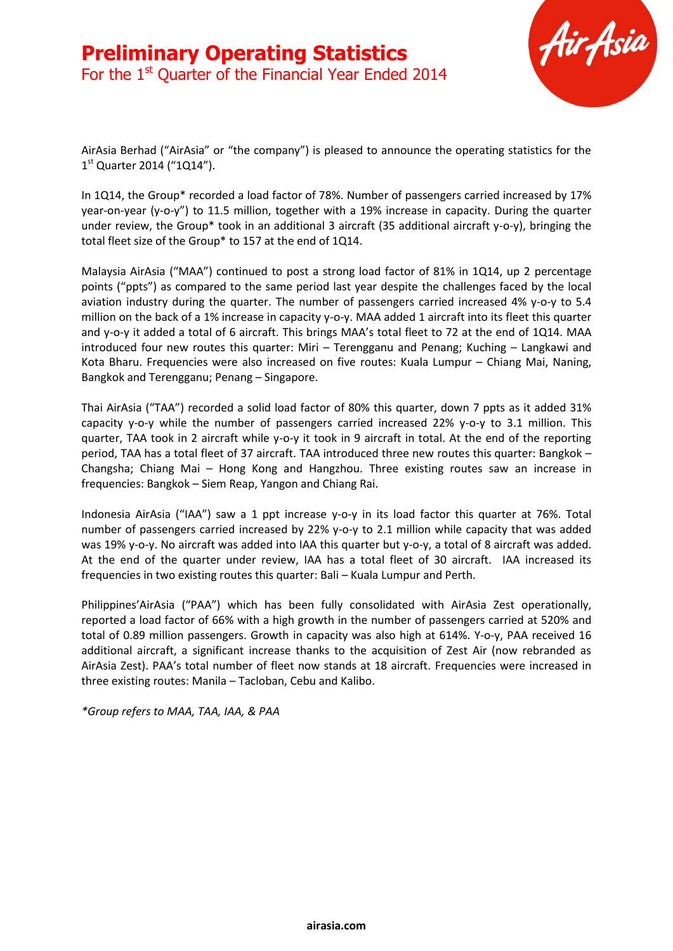

AirAsia Berhad ("AirAsia" or "the company") is pleased to announce the operating statistics for the 1<sup>st</sup> Quarter 2014 ("1Q14").

In 1Q14, the Group\* recorded a load factor of 78%. Number of passengers carried increased by 17% year-on-year (y-o-y") to 11.5 million, together with a 19% increase in capacity. During the quarter under review, the Group\* took in an additional 3 aircraft (35 additional aircraft y-o-y), bringing the total fleet size of the Group\* to 157 at the end of 1Q14.

Malaysia AirAsia ("MAA") continued to post a strong load factor of 81% in 1Q14, up 2 percentage points ("ppts") as compared to the same period last year despite the challenges faced by the local aviation industry during the quarter. The number of passengers carried increased 4% y-o-y to 5.4 million on the back of a 1% increase in capacity y-o-y. MAA added 1 aircraft into its fleet this quarter and y-o-y it added a total of 6 aircraft. This brings MAA's total fleet to 72 at the end of 1Q14. MAA introduced four new routes this quarter: Miri – Terengganu and Penang; Kuching – Langkawi and Kota Bharu. Frequencies were also increased on five routes: Kuala Lumpur – Chiang Mai, Naning, Bangkok and Terengganu; Penang – Singapore.

Thai AirAsia ("TAA") recorded a solid load factor of 80% this quarter, down 7 ppts as it added 31% capacity y-o-y while the number of passengers carried increased 22% y-o-y to 3.1 million. This quarter, TAA took in 2 aircraft while y-o-y it took in 9 aircraft in total. At the end of the reporting period, TAA has a total fleet of 37 aircraft. TAA introduced three new routes this quarter: Bangkok – Changsha; Chiang Mai – Hong Kong and Hangzhou. Three existing routes saw an increase in frequencies: Bangkok – Siem Reap, Yangon and Chiang Rai.

Indonesia AirAsia ("IAA") saw a 1 ppt increase y-o-y in its load factor this quarter at 76%. Total number of passengers carried increased by 22% y-o-y to 2.1 million while capacity that was added was 19% y-o-y. No aircraft was added into IAA this quarter but y-o-y, a total of 8 aircraft was added. At the end of the quarter under review, IAA has a total fleet of 30 aircraft. IAA increased its frequencies in two existing routes this quarter: Bali – Kuala Lumpur and Perth.

Philippines'AirAsia ("PAA") which has been fully consolidated with AirAsia Zest operationally, reported a load factor of 66% with a high growth in the number of passengers carried at 520% and total of 0.89 million passengers. Growth in capacity was also high at 614%. Y-o-y, PAA received 16 additional aircraft, a significant increase thanks to the acquisition of Zest Air (now rebranded as AirAsia Zest). PAA's total number of fleet now stands at 18 aircraft. Frequencies were increased in three existing routes: Manila – Tacloban, Cebu and Kalibo.

*\*Group refers to MAA, TAA, IAA, & PAA*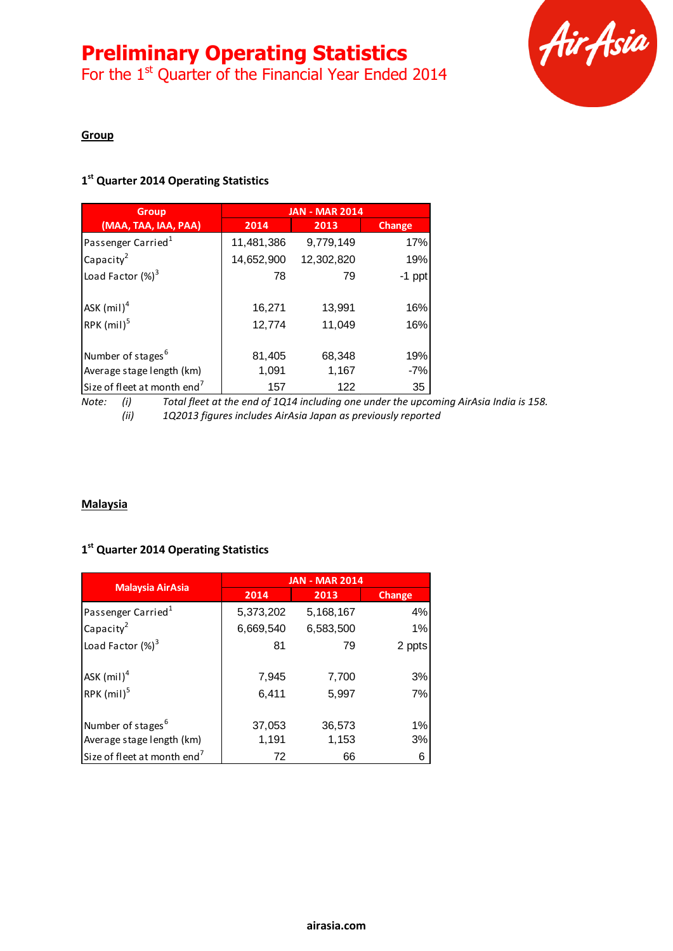# **Preliminary Operating Statistics**

For the 1<sup>st</sup> Quarter of the Financial Year Ended 2014



#### **Group**

### **1 st Quarter 2014 Operating Statistics**

| <b>Group</b>                            | <b>JAN - MAR 2014</b> |            |               |
|-----------------------------------------|-----------------------|------------|---------------|
| (MAA, TAA, IAA, PAA)                    | 2014                  | 2013       | <b>Change</b> |
| Passenger Carried <sup>1</sup>          | 11,481,386            | 9,779,149  | 17%           |
| Capacity <sup>2</sup>                   | 14,652,900            | 12,302,820 | 19%           |
| Load Factor $(\%)^3$                    | 78                    | 79         | $-1$ ppt      |
|                                         |                       |            |               |
| ASK $(mil)^4$                           | 16,271                | 13,991     | 16%           |
| RPK $(mil)^5$                           | 12,774                | 11,049     | 16%           |
|                                         |                       |            |               |
| Number of stages <sup>6</sup>           | 81,405                | 68,348     | 19%           |
| Average stage length (km)               | 1,091                 | 1,167      | $-7%$         |
| Size of fleet at month end <sup>7</sup> | 157                   | 122        | 35            |

*Note: (i) Total fleet at the end of 1Q14 including one under the upcoming AirAsia India is 158. (ii) 1Q2013 figures includes AirAsia Japan as previously reported*

### **Malaysia**

## **1 st Quarter 2014 Operating Statistics**

| <b>Malaysia AirAsia</b>                   | <b>JAN - MAR 2014</b> |                |          |
|-------------------------------------------|-----------------------|----------------|----------|
|                                           | 2014                  | 2013           | Change   |
| Passenger Carried <sup>1</sup>            | 5,373,202             | 5,168,167      | 4%       |
| Capacity <sup>2</sup>                     | 6,669,540             | 6,583,500      | 1%       |
| Load Factor $(\%)^3$                      | 81                    | 79             | 2 ppts   |
| $ASK$ (mil) <sup>4</sup><br>RPK $(mil)^5$ | 7,945<br>6,411        | 7,700<br>5,997 | 3%<br>7% |
| Number of stages <sup>6</sup>             | 37,053                | 36,573         | 1%       |
| Average stage length (km)                 | 1,191                 | 1,153          | 3%       |
| Size of fleet at month end <sup>7</sup>   | 72                    | 66             | 6        |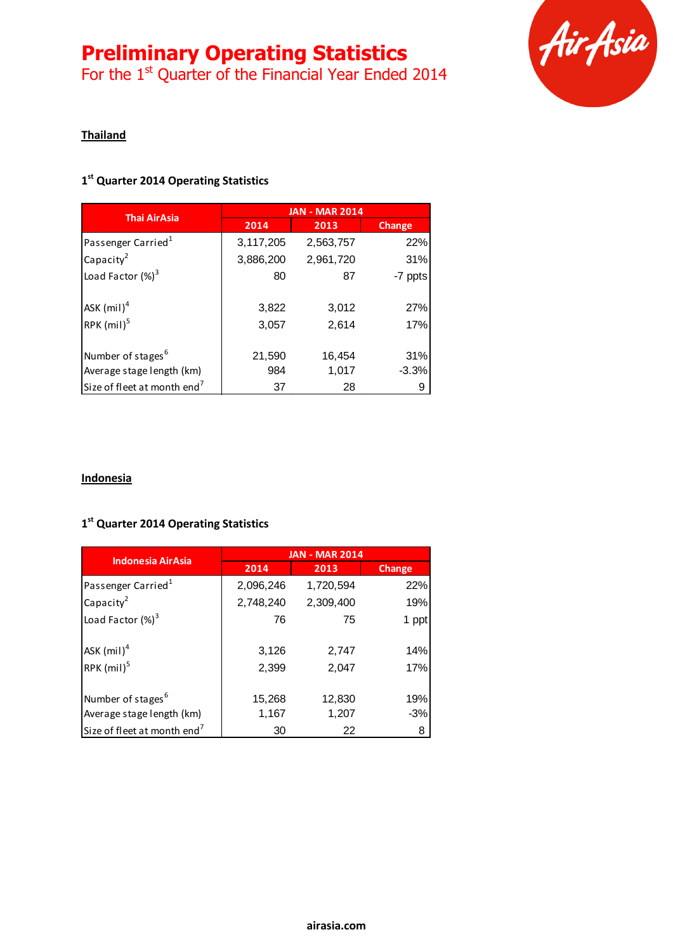## **Preliminary Operating Statistics**

For the 1<sup>st</sup> Quarter of the Financial Year Ended 2014



### **Thailand**

### **1 st Quarter 2014 Operating Statistics**

| <b>Thai AirAsia</b>                     | <b>JAN - MAR 2014</b> |           |         |
|-----------------------------------------|-----------------------|-----------|---------|
|                                         | 2014                  | 2013      | Change  |
| Passenger Carried <sup>1</sup>          | 3,117,205             | 2,563,757 | 22%     |
| Capacity <sup>2</sup>                   | 3,886,200             | 2,961,720 | 31%     |
| Load Factor $(\%)^3$                    | 80                    | 87        | -7 ppts |
| ASK $(mil)^4$                           | 3,822                 | 3,012     | 27%     |
| RPK $(mil)^5$                           | 3,057                 | 2,614     | 17%     |
| Number of stages <sup>6</sup>           | 21,590                | 16,454    | 31%     |
| Average stage length (km)               | 984                   | 1,017     | $-3.3%$ |
| Size of fleet at month end <sup>7</sup> | 37                    | 28        | 9       |

#### **Indonesia**

### **1 st Quarter 2014 Operating Statistics**

| <b>Indonesia AirAsia</b>                | <b>JAN - MAR 2014</b> |           |        |
|-----------------------------------------|-----------------------|-----------|--------|
|                                         | 2014                  | 2013      | Change |
| Passenger Carried <sup>1</sup>          | 2,096,246             | 1,720,594 | 22%    |
| Capacity <sup>2</sup>                   | 2,748,240             | 2,309,400 | 19%    |
| Load Factor $(\%)^3$                    | 76                    | 75        | 1 ppt  |
|                                         |                       |           |        |
| ASK $(mil)^4$                           | 3,126                 | 2,747     | 14%    |
| RPK $(mil)^5$                           | 2,399                 | 2,047     | 17%    |
|                                         |                       |           |        |
| Number of stages <sup>6</sup>           | 15,268                | 12,830    | 19%    |
| Average stage length (km)               | 1,167                 | 1,207     | $-3%$  |
| Size of fleet at month end <sup>7</sup> | 30                    | 22        | 8      |